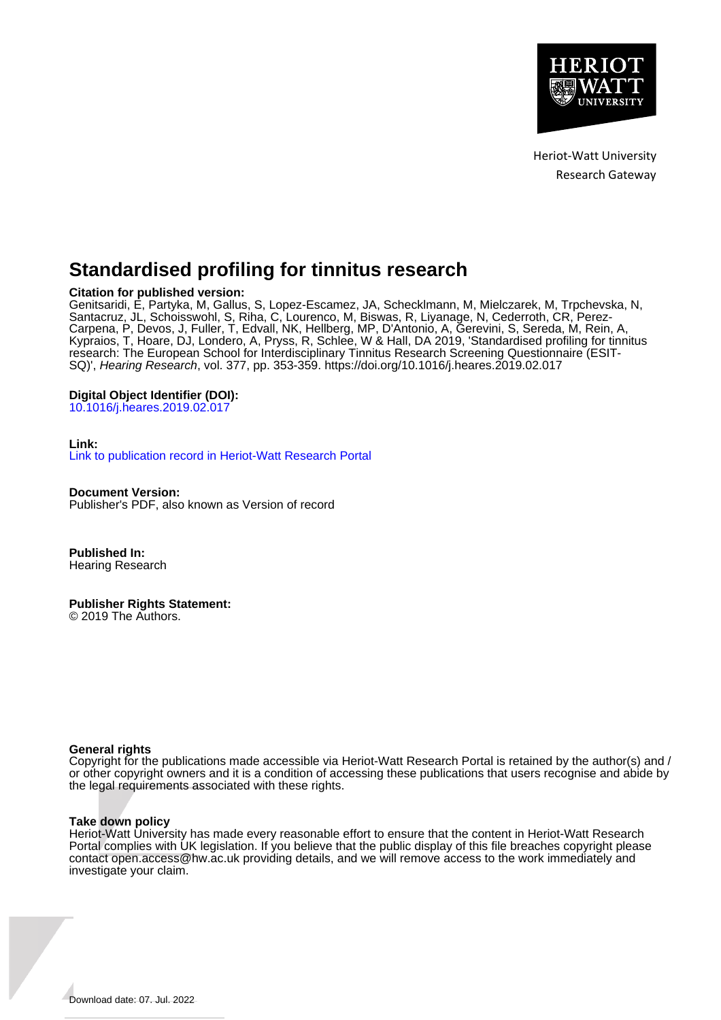

Heriot-Watt University Research Gateway

# **Standardised profiling for tinnitus research**

## **Citation for published version:**

Genitsaridi, E, Partyka, M, Gallus, S, Lopez-Escamez, JA, Schecklmann, M, Mielczarek, M, Trpchevska, N, Santacruz, JL, Schoisswohl, S, Riha, C, Lourenco, M, Biswas, R, Liyanage, N, Cederroth, CR, Perez-Carpena, P, Devos, J, Fuller, T, Edvall, NK, Hellberg, MP, D'Antonio, A, Gerevini, S, Sereda, M, Rein, A, Kypraios, T, Hoare, DJ, Londero, A, Pryss, R, Schlee, W & Hall, DA 2019, 'Standardised profiling for tinnitus research: The European School for Interdisciplinary Tinnitus Research Screening Questionnaire (ESIT-SQ)', Hearing Research, vol. 377, pp. 353-359. <https://doi.org/10.1016/j.heares.2019.02.017>

## **Digital Object Identifier (DOI):**

[10.1016/j.heares.2019.02.017](https://doi.org/10.1016/j.heares.2019.02.017)

## **Link:**

[Link to publication record in Heriot-Watt Research Portal](https://researchportal.hw.ac.uk/en/publications/50d81a0f-a9f7-4722-85f8-627a35ca7c4b)

**Document Version:** Publisher's PDF, also known as Version of record

**Published In:** Hearing Research

**Publisher Rights Statement:**

© 2019 The Authors.

## **General rights**

Copyright for the publications made accessible via Heriot-Watt Research Portal is retained by the author(s) and / or other copyright owners and it is a condition of accessing these publications that users recognise and abide by the legal requirements associated with these rights.

## **Take down policy**

Heriot-Watt University has made every reasonable effort to ensure that the content in Heriot-Watt Research Portal complies with UK legislation. If you believe that the public display of this file breaches copyright please contact open.access@hw.ac.uk providing details, and we will remove access to the work immediately and investigate your claim.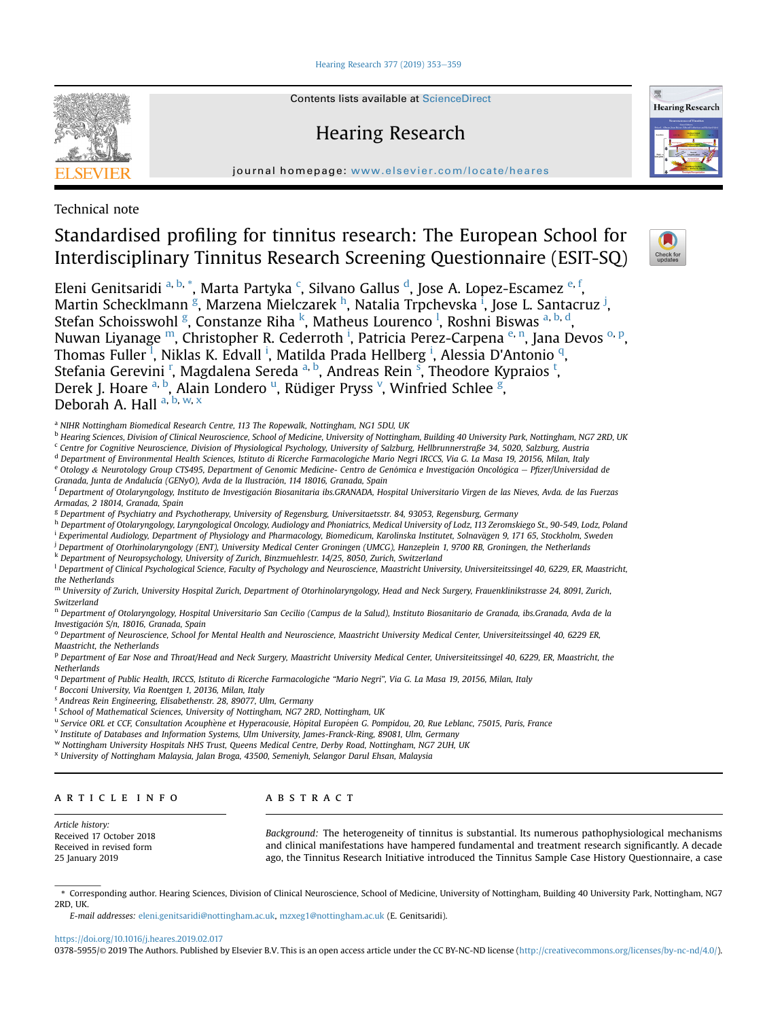[Hearing Research 377 \(2019\) 353](https://doi.org/10.1016/j.heares.2019.02.017)-[359](https://doi.org/10.1016/j.heares.2019.02.017)



Contents lists available at ScienceDirect

## Hearing Research



journal homepage: [www.elsevier.com/locate/heares](http://www.elsevier.com/locate/heares)

Technical note

## Standardised profiling for tinnitus research: The European School for Interdisciplinary Tinnitus Research Screening Questionnaire (ESIT-SQ)



Eleni Genitsaridi <sup>a, b, \*</sup>, Marta Partyka <sup>c</sup>, Silvano Gallus <sup>d</sup>, Jose A. Lopez-Escamez <sup>e, f</sup>, Martin Schecklmann <sup>g</sup>, Marzena Mielczarek <sup>h</sup>, Natalia Trpchevska <sup>ī</sup>, Jose L. Santacruz <sup>j</sup>, Stefan Schoisswohl <sup>g</sup>, Constanze Riha <sup>k</sup>, Matheus Lourenco <sup>l</sup>, Roshni Biswas <sup>a, b, d</sup>, Nuwan Liyanage <sup>m</sup>, Christopher R. Cederroth <sup>i</sup>, Patricia Perez-Carpena <sup>e, n</sup>, Jana Devos <sup>o, p</sup>, Thomas Fuller <sup>1</sup>, Niklas K. Edvall <sup>i</sup>, Matilda Prada Hellberg <sup>i</sup>, Alessia D'Antonio <sup>q</sup>, Stefania Gerevini <sup>r</sup>, Magdalena Sereda <sup>a, b</sup>, Andreas Rein <sup>s</sup>, Theodore Kypraios <sup>t</sup>, Derek J. Hoare <sup>a, b</sup>, Alain Londero <sup>u</sup>, Rüdiger Pryss <sup>v</sup>, Winfried Schlee <sup>g</sup>, Deborah A. Hall a, b, w, x

<sup>a</sup> NIHR Nottingham Biomedical Research Centre, 113 The Ropewalk, Nottingham, NG1 5DU, UK

b Hearing Sciences, Division of Clinical Neuroscience, School of Medicine, University of Nottingham, Building 40 University Park, Nottingham, NG7 2RD, UK

<sup>c</sup> Centre for Cognitive Neuroscience, Division of Physiological Psychology, University of Salzburg, Hellbrunnerstraße 34, 5020, Salzburg, Austria

<sup>d</sup> Department of Environmental Health Sciences, Istituto di Ricerche Farmacologiche Mario Negri IRCCS, Via G. La Masa 19, 20156, Milan, Italy e Otology & Neurotology Group CTS495, Department of Genomic Medicine- Centro de Genómica e Investigación Oncológica - Pfizer/Universidad de Granada, Junta de Andalucía (GENyO), Avda de la Ilustracion, 114 18016, Granada, Spain

<sup>f</sup> Department of Otolaryngology, Instituto de Investigacion Biosanitaria ibs.GRANADA, Hospital Universitario Virgen de las Nieves, Avda. de las Fuerzas Armadas, 2 18014, Granada, Spain

<sup>g</sup> Department of Psychiatry and Psychotherapy, University of Regensburg, Universitaetsstr. 84, 93053, Regensburg, Germany

h Department of Otolaryngology, Laryngological Oncology, Audiology and Phoniatrics, Medical University of Lodz, 113 Zeromskiego St., 90-549, Lodz, Poland

<sup>i</sup> Experimental Audiology, Department of Physiology and Pharmacology, Biomedicum, Karolinska Institutet, Solnavägen 9, 171 65, Stockholm, Sweden

<sup>j</sup> Department of Otorhinolaryngology (ENT), University Medical Center Groningen (UMCG), Hanzeplein 1, 9700 RB, Groningen, the Netherlands

<sup>k</sup> Department of Neuropsychology, University of Zurich, Binzmuehlestr. 14/25, 8050, Zurich, Switzerland

<sup>1</sup> Department of Clinical Psychological Science, Faculty of Psychology and Neuroscience, Maastricht University, Universiteitssingel 40, 6229, ER, Maastricht, the Netherlands

m University of Zurich, University Hospital Zurich, Department of Otorhinolaryngology, Head and Neck Surgery, Frauenklinikstrasse 24, 8091, Zurich, Switzerland

<sup>n</sup> Department of Otolaryngology, Hospital Universitario San Cecilio (Campus de la Salud), Instituto Biosanitario de Granada, ibs.Granada, Avda de la Investigacion S/n, 18016, Granada, Spain

<sup>o</sup> Department of Neuroscience, School for Mental Health and Neuroscience, Maastricht University Medical Center, Universiteitssingel 40, 6229 ER, Maastricht, the Netherlands

P Department of Ear Nose and Throat/Head and Neck Surgery, Maastricht University Medical Center, Universiteitssingel 40, 6229, ER, Maastricht, the **Netherlands** 

<sup>q</sup> Department of Public Health, IRCCS, Istituto di Ricerche Farmacologiche "Mario Negri", Via G. La Masa 19, 20156, Milan, Italy

<sup>r</sup> Bocconi University, Via Roentgen 1, 20136, Milan, Italy

<sup>s</sup> Andreas Rein Engineering, Elisabethenstr. 28, 89077, Ulm, Germany

<sup>t</sup> School of Mathematical Sciences, University of Nottingham, NG7 2RD, Nottingham, UK

u Service ORL et CCF, Consultation Acouphene et Hyperacousie, Hôpital Européen G. Pompidou, 20, Rue Leblanc, 75015, Paris, France

<sup>v</sup> Institute of Databases and Information Systems, Ulm University, James-Franck-Ring, 89081, Ulm, Germany

<sup>w</sup> Nottingham University Hospitals NHS Trust, Queens Medical Centre, Derby Road, Nottingham, NG7 2UH, UK

<sup>x</sup> University of Nottingham Malaysia, Jalan Broga, 43500, Semeniyh, Selangor Darul Ehsan, Malaysia

## article info

### **ABSTRACT**

Article history: Received 17 October 2018 Received in revised form 25 January 2019

Background: The heterogeneity of tinnitus is substantial. Its numerous pathophysiological mechanisms and clinical manifestations have hampered fundamental and treatment research significantly. A decade ago, the Tinnitus Research Initiative introduced the Tinnitus Sample Case History Questionnaire, a case

\* Corresponding author. Hearing Sciences, Division of Clinical Neuroscience, School of Medicine, University of Nottingham, Building 40 University Park, Nottingham, NG7 2RD, UK.

E-mail addresses: [eleni.genitsaridi@nottingham.ac.uk](mailto:eleni.genitsaridi@nottingham.ac.uk), [mzxeg1@nottingham.ac.uk](mailto:mzxeg1@nottingham.ac.uk) (E. Genitsaridi).

#### <https://doi.org/10.1016/j.heares.2019.02.017>

0378-5955/© 2019 The Authors. Published by Elsevier B.V. This is an open access article under the CC BY-NC-ND license ([http://creativecommons.org/licenses/by-nc-nd/4.0/\)](http://creativecommons.org/licenses/by-nc-nd/4.0/).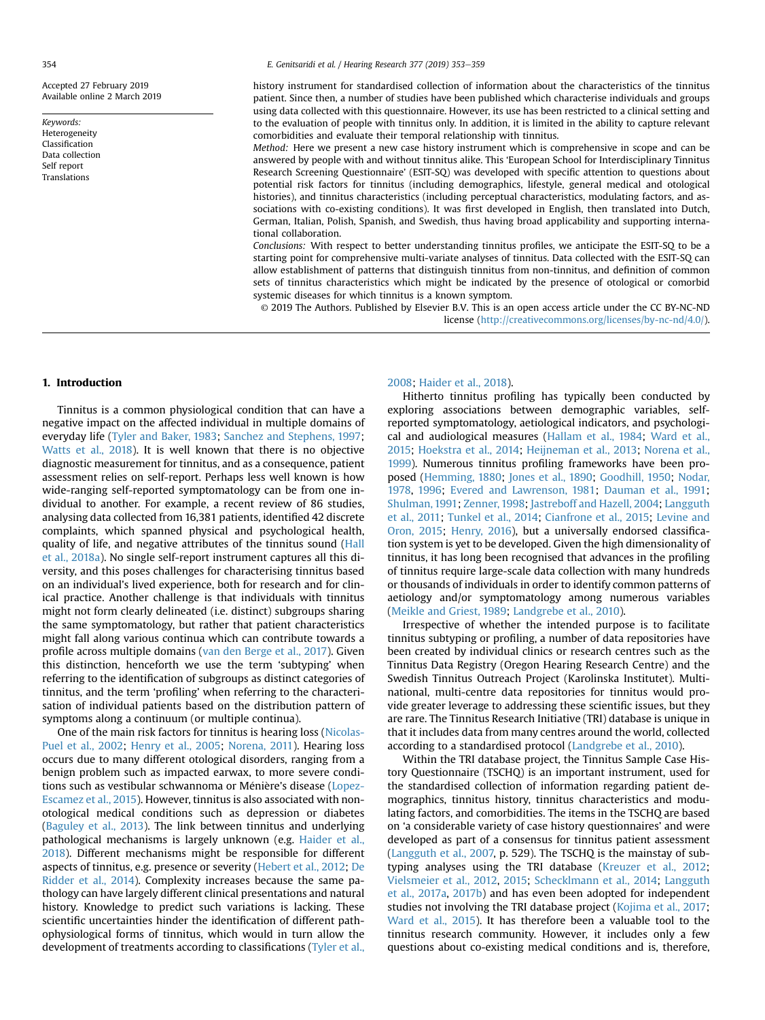Accepted 27 February 2019 Available online 2 March 2019

Keywords: Heterogeneity Classification Data collection Self report Translations

history instrument for standardised collection of information about the characteristics of the tinnitus patient. Since then, a number of studies have been published which characterise individuals and groups using data collected with this questionnaire. However, its use has been restricted to a clinical setting and to the evaluation of people with tinnitus only. In addition, it is limited in the ability to capture relevant comorbidities and evaluate their temporal relationship with tinnitus.

Method: Here we present a new case history instrument which is comprehensive in scope and can be answered by people with and without tinnitus alike. This 'European School for Interdisciplinary Tinnitus Research Screening Questionnaire' (ESIT-SQ) was developed with specific attention to questions about potential risk factors for tinnitus (including demographics, lifestyle, general medical and otological histories), and tinnitus characteristics (including perceptual characteristics, modulating factors, and associations with co-existing conditions). It was first developed in English, then translated into Dutch, German, Italian, Polish, Spanish, and Swedish, thus having broad applicability and supporting international collaboration.

Conclusions: With respect to better understanding tinnitus profiles, we anticipate the ESIT-SQ to be a starting point for comprehensive multi-variate analyses of tinnitus. Data collected with the ESIT-SQ can allow establishment of patterns that distinguish tinnitus from non-tinnitus, and definition of common sets of tinnitus characteristics which might be indicated by the presence of otological or comorbid systemic diseases for which tinnitus is a known symptom.

© 2019 The Authors. Published by Elsevier B.V. This is an open access article under the CC BY-NC-ND license [\(http://creativecommons.org/licenses/by-nc-nd/4.0/](http://creativecommons.org/licenses/by-nc-nd/4.0/)).

#### 1. Introduction

Tinnitus is a common physiological condition that can have a negative impact on the affected individual in multiple domains of everyday life [\(Tyler and Baker, 1983;](#page-7-0) [Sanchez and Stephens, 1997](#page-7-0); [Watts et al., 2018](#page-7-0)). It is well known that there is no objective diagnostic measurement for tinnitus, and as a consequence, patient assessment relies on self-report. Perhaps less well known is how wide-ranging self-reported symptomatology can be from one individual to another. For example, a recent review of 86 studies, analysing data collected from 16,381 patients, identified 42 discrete complaints, which spanned physical and psychological health, quality of life, and negative attributes of the tinnitus sound ([Hall](#page-6-0) [et al., 2018a\)](#page-6-0). No single self-report instrument captures all this diversity, and this poses challenges for characterising tinnitus based on an individual's lived experience, both for research and for clinical practice. Another challenge is that individuals with tinnitus might not form clearly delineated (i.e. distinct) subgroups sharing the same symptomatology, but rather that patient characteristics might fall along various continua which can contribute towards a profile across multiple domains ([van den Berge et al., 2017\)](#page-7-0). Given this distinction, henceforth we use the term 'subtyping' when referring to the identification of subgroups as distinct categories of tinnitus, and the term 'profiling' when referring to the characterisation of individual patients based on the distribution pattern of symptoms along a continuum (or multiple continua).

One of the main risk factors for tinnitus is hearing loss [\(Nicolas-](#page-7-0)[Puel et al., 2002;](#page-7-0) [Henry et al., 2005;](#page-6-0) [Norena, 2011](#page-7-0)). Hearing loss occurs due to many different otological disorders, ranging from a benign problem such as impacted earwax, to more severe condi-tions such as vestibular schwannoma or Ménière's disease ([Lopez-](#page-6-0)[Escamez et al., 2015](#page-6-0)). However, tinnitus is also associated with nonotological medical conditions such as depression or diabetes ([Baguley et al., 2013\)](#page-6-0). The link between tinnitus and underlying pathological mechanisms is largely unknown (e.g. [Haider et al.,](#page-6-0) [2018\)](#page-6-0). Different mechanisms might be responsible for different aspects of tinnitus, e.g. presence or severity ([Hebert et al., 2012;](#page-6-0) [De](#page-6-0) [Ridder et al., 2014\)](#page-6-0). Complexity increases because the same pathology can have largely different clinical presentations and natural history. Knowledge to predict such variations is lacking. These scientific uncertainties hinder the identification of different pathophysiological forms of tinnitus, which would in turn allow the development of treatments according to classifications [\(Tyler et al.,](#page-7-0)

#### [2008](#page-7-0); [Haider et al., 2018\)](#page-6-0).

Hitherto tinnitus profiling has typically been conducted by exploring associations between demographic variables, selfreported symptomatology, aetiological indicators, and psychological and audiological measures [\(Hallam et al., 1984](#page-6-0); [Ward et al.,](#page-7-0) [2015;](#page-7-0) [Hoekstra et al., 2014](#page-6-0); [Heijneman et al., 2013](#page-6-0); [Norena et al.,](#page-7-0) [1999](#page-7-0)). Numerous tinnitus profiling frameworks have been proposed [\(Hemming, 1880;](#page-6-0) [Jones et al., 1890](#page-6-0); [Goodhill, 1950](#page-6-0); [Nodar,](#page-7-0) [1978](#page-7-0), [1996;](#page-7-0) [Evered and Lawrenson, 1981;](#page-6-0) [Dauman et al., 1991](#page-6-0); [Shulman, 1991](#page-7-0); [Zenner, 1998;](#page-7-0) [Jastreboff and Hazell, 2004](#page-6-0); [Langguth](#page-6-0) [et al., 2011](#page-6-0); [Tunkel et al., 2014;](#page-7-0) [Cianfrone et al., 2015;](#page-6-0) [Levine and](#page-6-0) [Oron, 2015;](#page-6-0) [Henry, 2016](#page-6-0)), but a universally endorsed classification system is yet to be developed. Given the high dimensionality of tinnitus, it has long been recognised that advances in the profiling of tinnitus require large-scale data collection with many hundreds or thousands of individuals in order to identify common patterns of aetiology and/or symptomatology among numerous variables ([Meikle and Griest, 1989](#page-7-0); [Landgrebe et al., 2010](#page-6-0)).

Irrespective of whether the intended purpose is to facilitate tinnitus subtyping or profiling, a number of data repositories have been created by individual clinics or research centres such as the Tinnitus Data Registry (Oregon Hearing Research Centre) and the Swedish Tinnitus Outreach Project (Karolinska Institutet). Multinational, multi-centre data repositories for tinnitus would provide greater leverage to addressing these scientific issues, but they are rare. The Tinnitus Research Initiative (TRI) database is unique in that it includes data from many centres around the world, collected according to a standardised protocol ([Landgrebe et al., 2010](#page-6-0)).

Within the TRI database project, the Tinnitus Sample Case History Questionnaire (TSCHQ) is an important instrument, used for the standardised collection of information regarding patient demographics, tinnitus history, tinnitus characteristics and modulating factors, and comorbidities. The items in the TSCHQ are based on 'a considerable variety of case history questionnaires' and were developed as part of a consensus for tinnitus patient assessment ([Langguth et al., 2007,](#page-6-0) p. 529). The TSCHQ is the mainstay of subtyping analyses using the TRI database [\(Kreuzer et al., 2012](#page-6-0); [Vielsmeier et al., 2012](#page-7-0), [2015](#page-7-0); [Schecklmann et al., 2014;](#page-7-0) [Langguth](#page-6-0) [et al., 2017a,](#page-6-0) [2017b](#page-6-0)) and has even been adopted for independent studies not involving the TRI database project ([Kojima et al., 2017](#page-6-0); [Ward et al., 2015](#page-7-0)). It has therefore been a valuable tool to the tinnitus research community. However, it includes only a few questions about co-existing medical conditions and is, therefore,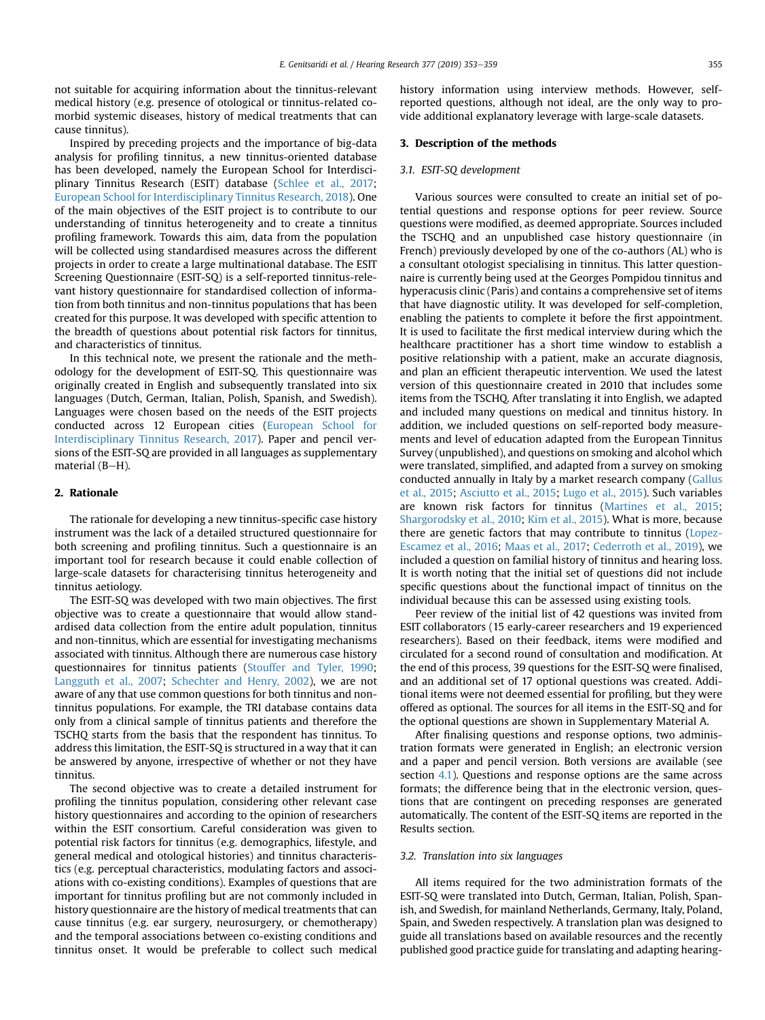not suitable for acquiring information about the tinnitus-relevant medical history (e.g. presence of otological or tinnitus-related comorbid systemic diseases, history of medical treatments that can cause tinnitus).

Inspired by preceding projects and the importance of big-data analysis for profiling tinnitus, a new tinnitus-oriented database has been developed, namely the European School for Interdisciplinary Tinnitus Research (ESIT) database [\(Schlee et al., 2017;](#page-7-0) [European School for Interdisciplinary Tinnitus Research, 2018\)](#page-6-0). One of the main objectives of the ESIT project is to contribute to our understanding of tinnitus heterogeneity and to create a tinnitus profiling framework. Towards this aim, data from the population will be collected using standardised measures across the different projects in order to create a large multinational database. The ESIT Screening Questionnaire (ESIT-SQ) is a self-reported tinnitus-relevant history questionnaire for standardised collection of information from both tinnitus and non-tinnitus populations that has been created for this purpose. It was developed with specific attention to the breadth of questions about potential risk factors for tinnitus, and characteristics of tinnitus.

In this technical note, we present the rationale and the methodology for the development of ESIT-SQ. This questionnaire was originally created in English and subsequently translated into six languages (Dutch, German, Italian, Polish, Spanish, and Swedish). Languages were chosen based on the needs of the ESIT projects conducted across 12 European cities [\(European School for](#page-6-0) [Interdisciplinary Tinnitus Research, 2017](#page-6-0)). Paper and pencil versions of the ESIT-SQ are provided in all languages as supplementary material  $(B-H)$ .

#### 2. Rationale

The rationale for developing a new tinnitus-specific case history instrument was the lack of a detailed structured questionnaire for both screening and profiling tinnitus. Such a questionnaire is an important tool for research because it could enable collection of large-scale datasets for characterising tinnitus heterogeneity and tinnitus aetiology.

The ESIT-SQ was developed with two main objectives. The first objective was to create a questionnaire that would allow standardised data collection from the entire adult population, tinnitus and non-tinnitus, which are essential for investigating mechanisms associated with tinnitus. Although there are numerous case history questionnaires for tinnitus patients ([Stouffer and Tyler, 1990;](#page-7-0) [Langguth et al., 2007;](#page-6-0) [Schechter and Henry, 2002\)](#page-7-0), we are not aware of any that use common questions for both tinnitus and nontinnitus populations. For example, the TRI database contains data only from a clinical sample of tinnitus patients and therefore the TSCHQ starts from the basis that the respondent has tinnitus. To address this limitation, the ESIT-SQ is structured in a way that it can be answered by anyone, irrespective of whether or not they have tinnitus.

The second objective was to create a detailed instrument for profiling the tinnitus population, considering other relevant case history questionnaires and according to the opinion of researchers within the ESIT consortium. Careful consideration was given to potential risk factors for tinnitus (e.g. demographics, lifestyle, and general medical and otological histories) and tinnitus characteristics (e.g. perceptual characteristics, modulating factors and associations with co-existing conditions). Examples of questions that are important for tinnitus profiling but are not commonly included in history questionnaire are the history of medical treatments that can cause tinnitus (e.g. ear surgery, neurosurgery, or chemotherapy) and the temporal associations between co-existing conditions and tinnitus onset. It would be preferable to collect such medical history information using interview methods. However, selfreported questions, although not ideal, are the only way to provide additional explanatory leverage with large-scale datasets.

#### 3. Description of the methods

#### 3.1. ESIT-SQ development

Various sources were consulted to create an initial set of potential questions and response options for peer review. Source questions were modified, as deemed appropriate. Sources included the TSCHQ and an unpublished case history questionnaire (in French) previously developed by one of the co-authors (AL) who is a consultant otologist specialising in tinnitus. This latter questionnaire is currently being used at the Georges Pompidou tinnitus and hyperacusis clinic (Paris) and contains a comprehensive set of items that have diagnostic utility. It was developed for self-completion, enabling the patients to complete it before the first appointment. It is used to facilitate the first medical interview during which the healthcare practitioner has a short time window to establish a positive relationship with a patient, make an accurate diagnosis, and plan an efficient therapeutic intervention. We used the latest version of this questionnaire created in 2010 that includes some items from the TSCHQ. After translating it into English, we adapted and included many questions on medical and tinnitus history. In addition, we included questions on self-reported body measurements and level of education adapted from the European Tinnitus Survey (unpublished), and questions on smoking and alcohol which were translated, simplified, and adapted from a survey on smoking conducted annually in Italy by a market research company [\(Gallus](#page-6-0) [et al., 2015;](#page-6-0) [Asciutto et al., 2015](#page-6-0); [Lugo et al., 2015\)](#page-6-0). Such variables are known risk factors for tinnitus ([Martines et al., 2015;](#page-7-0) [Shargorodsky et al., 2010;](#page-7-0) [Kim et al., 2015\)](#page-6-0). What is more, because there are genetic factors that may contribute to tinnitus [\(Lopez-](#page-6-0)[Escamez et al., 2016;](#page-6-0) [Maas et al., 2017;](#page-6-0) [Cederroth et al., 2019\)](#page-6-0), we included a question on familial history of tinnitus and hearing loss. It is worth noting that the initial set of questions did not include specific questions about the functional impact of tinnitus on the individual because this can be assessed using existing tools.

Peer review of the initial list of 42 questions was invited from ESIT collaborators (15 early-career researchers and 19 experienced researchers). Based on their feedback, items were modified and circulated for a second round of consultation and modification. At the end of this process, 39 questions for the ESIT-SQ were finalised, and an additional set of 17 optional questions was created. Additional items were not deemed essential for profiling, but they were offered as optional. The sources for all items in the ESIT-SQ and for the optional questions are shown in Supplementary Material A.

After finalising questions and response options, two administration formats were generated in English; an electronic version and a paper and pencil version. Both versions are available (see section [4.1](#page-4-0)). Questions and response options are the same across formats; the difference being that in the electronic version, questions that are contingent on preceding responses are generated automatically. The content of the ESIT-SQ items are reported in the Results section.

#### 3.2. Translation into six languages

All items required for the two administration formats of the ESIT-SQ were translated into Dutch, German, Italian, Polish, Spanish, and Swedish, for mainland Netherlands, Germany, Italy, Poland, Spain, and Sweden respectively. A translation plan was designed to guide all translations based on available resources and the recently published good practice guide for translating and adapting hearing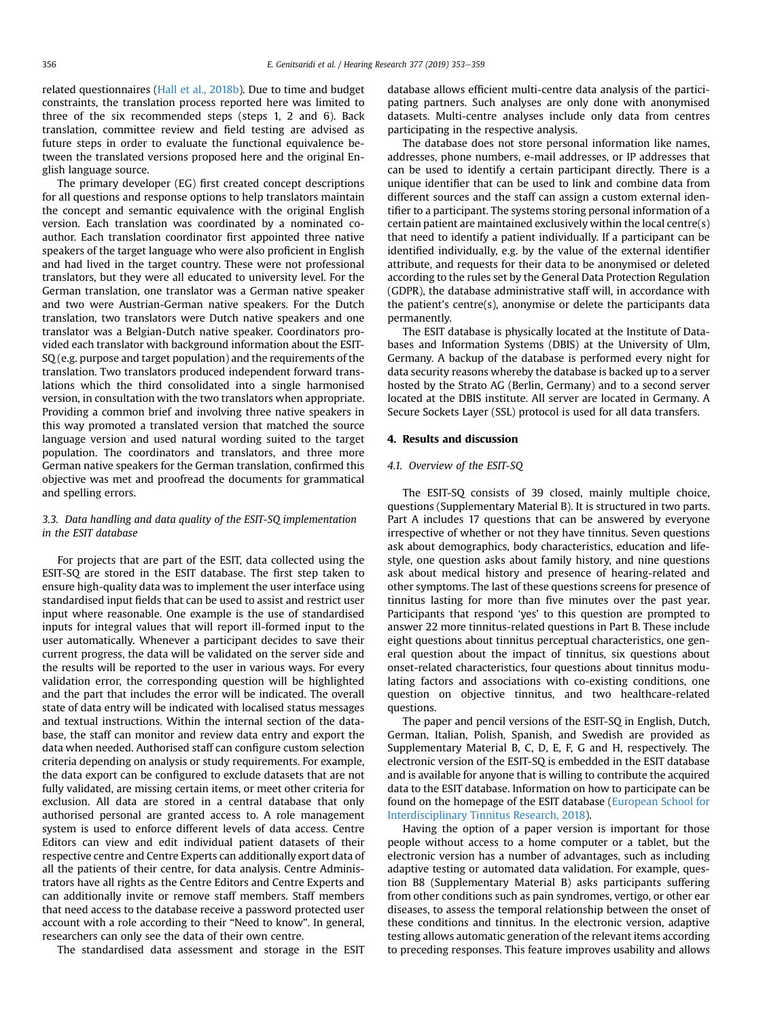<span id="page-4-0"></span>related questionnaires ([Hall et al., 2018b](#page-6-0)). Due to time and budget constraints, the translation process reported here was limited to three of the six recommended steps (steps 1, 2 and 6). Back translation, committee review and field testing are advised as future steps in order to evaluate the functional equivalence between the translated versions proposed here and the original English language source.

The primary developer (EG) first created concept descriptions for all questions and response options to help translators maintain the concept and semantic equivalence with the original English version. Each translation was coordinated by a nominated coauthor. Each translation coordinator first appointed three native speakers of the target language who were also proficient in English and had lived in the target country. These were not professional translators, but they were all educated to university level. For the German translation, one translator was a German native speaker and two were Austrian-German native speakers. For the Dutch translation, two translators were Dutch native speakers and one translator was a Belgian-Dutch native speaker. Coordinators provided each translator with background information about the ESIT-SQ (e.g. purpose and target population) and the requirements of the translation. Two translators produced independent forward translations which the third consolidated into a single harmonised version, in consultation with the two translators when appropriate. Providing a common brief and involving three native speakers in this way promoted a translated version that matched the source language version and used natural wording suited to the target population. The coordinators and translators, and three more German native speakers for the German translation, confirmed this objective was met and proofread the documents for grammatical and spelling errors.

### 3.3. Data handling and data quality of the ESIT-SQ implementation in the ESIT database

For projects that are part of the ESIT, data collected using the ESIT-SQ are stored in the ESIT database. The first step taken to ensure high-quality data was to implement the user interface using standardised input fields that can be used to assist and restrict user input where reasonable. One example is the use of standardised inputs for integral values that will report ill-formed input to the user automatically. Whenever a participant decides to save their current progress, the data will be validated on the server side and the results will be reported to the user in various ways. For every validation error, the corresponding question will be highlighted and the part that includes the error will be indicated. The overall state of data entry will be indicated with localised status messages and textual instructions. Within the internal section of the database, the staff can monitor and review data entry and export the data when needed. Authorised staff can configure custom selection criteria depending on analysis or study requirements. For example, the data export can be configured to exclude datasets that are not fully validated, are missing certain items, or meet other criteria for exclusion. All data are stored in a central database that only authorised personal are granted access to. A role management system is used to enforce different levels of data access. Centre Editors can view and edit individual patient datasets of their respective centre and Centre Experts can additionally export data of all the patients of their centre, for data analysis. Centre Administrators have all rights as the Centre Editors and Centre Experts and can additionally invite or remove staff members. Staff members that need access to the database receive a password protected user account with a role according to their "Need to know". In general, researchers can only see the data of their own centre.

The standardised data assessment and storage in the ESIT

database allows efficient multi-centre data analysis of the participating partners. Such analyses are only done with anonymised datasets. Multi-centre analyses include only data from centres participating in the respective analysis.

The database does not store personal information like names, addresses, phone numbers, e-mail addresses, or IP addresses that can be used to identify a certain participant directly. There is a unique identifier that can be used to link and combine data from different sources and the staff can assign a custom external identifier to a participant. The systems storing personal information of a certain patient are maintained exclusively within the local centre(s) that need to identify a patient individually. If a participant can be identified individually, e.g. by the value of the external identifier attribute, and requests for their data to be anonymised or deleted according to the rules set by the General Data Protection Regulation (GDPR), the database administrative staff will, in accordance with the patient's centre(s), anonymise or delete the participants data permanently.

The ESIT database is physically located at the Institute of Databases and Information Systems (DBIS) at the University of Ulm, Germany. A backup of the database is performed every night for data security reasons whereby the database is backed up to a server hosted by the Strato AG (Berlin, Germany) and to a second server located at the DBIS institute. All server are located in Germany. A Secure Sockets Layer (SSL) protocol is used for all data transfers.

## 4. Results and discussion

#### 4.1. Overview of the ESIT-SQ

The ESIT-SQ consists of 39 closed, mainly multiple choice, questions (Supplementary Material B). It is structured in two parts. Part A includes 17 questions that can be answered by everyone irrespective of whether or not they have tinnitus. Seven questions ask about demographics, body characteristics, education and lifestyle, one question asks about family history, and nine questions ask about medical history and presence of hearing-related and other symptoms. The last of these questions screens for presence of tinnitus lasting for more than five minutes over the past year. Participants that respond 'yes' to this question are prompted to answer 22 more tinnitus-related questions in Part B. These include eight questions about tinnitus perceptual characteristics, one general question about the impact of tinnitus, six questions about onset-related characteristics, four questions about tinnitus modulating factors and associations with co-existing conditions, one question on objective tinnitus, and two healthcare-related questions.

The paper and pencil versions of the ESIT-SQ in English, Dutch, German, Italian, Polish, Spanish, and Swedish are provided as Supplementary Material B, C, D, E, F, G and H, respectively. The electronic version of the ESIT-SQ is embedded in the ESIT database and is available for anyone that is willing to contribute the acquired data to the ESIT database. Information on how to participate can be found on the homepage of the ESIT database ([European School for](#page-6-0) [Interdisciplinary Tinnitus Research, 2018\)](#page-6-0).

Having the option of a paper version is important for those people without access to a home computer or a tablet, but the electronic version has a number of advantages, such as including adaptive testing or automated data validation. For example, question B8 (Supplementary Material B) asks participants suffering from other conditions such as pain syndromes, vertigo, or other ear diseases, to assess the temporal relationship between the onset of these conditions and tinnitus. In the electronic version, adaptive testing allows automatic generation of the relevant items according to preceding responses. This feature improves usability and allows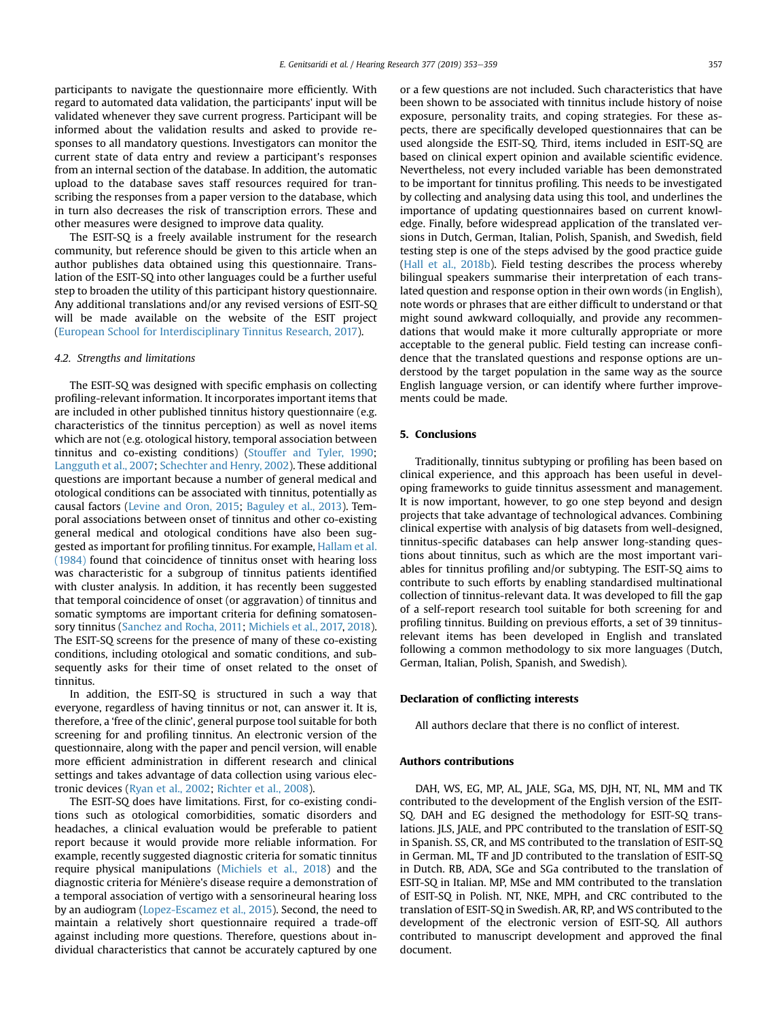participants to navigate the questionnaire more efficiently. With regard to automated data validation, the participants' input will be validated whenever they save current progress. Participant will be informed about the validation results and asked to provide responses to all mandatory questions. Investigators can monitor the current state of data entry and review a participant's responses from an internal section of the database. In addition, the automatic upload to the database saves staff resources required for transcribing the responses from a paper version to the database, which in turn also decreases the risk of transcription errors. These and other measures were designed to improve data quality.

The ESIT-SQ is a freely available instrument for the research community, but reference should be given to this article when an author publishes data obtained using this questionnaire. Translation of the ESIT-SQ into other languages could be a further useful step to broaden the utility of this participant history questionnaire. Any additional translations and/or any revised versions of ESIT-SQ will be made available on the website of the ESIT project ([European School for Interdisciplinary Tinnitus Research, 2017](#page-6-0)).

#### 4.2. Strengths and limitations

The ESIT-SQ was designed with specific emphasis on collecting profiling-relevant information. It incorporates important items that are included in other published tinnitus history questionnaire (e.g. characteristics of the tinnitus perception) as well as novel items which are not (e.g. otological history, temporal association between tinnitus and co-existing conditions) [\(Stouffer and Tyler, 1990;](#page-7-0) [Langguth et al., 2007;](#page-6-0) [Schechter and Henry, 2002](#page-7-0)). These additional questions are important because a number of general medical and otological conditions can be associated with tinnitus, potentially as causal factors [\(Levine and Oron, 2015](#page-6-0); [Baguley et al., 2013](#page-6-0)). Temporal associations between onset of tinnitus and other co-existing general medical and otological conditions have also been suggested as important for profiling tinnitus. For example, [Hallam et al.](#page-6-0) [\(1984\)](#page-6-0) found that coincidence of tinnitus onset with hearing loss was characteristic for a subgroup of tinnitus patients identified with cluster analysis. In addition, it has recently been suggested that temporal coincidence of onset (or aggravation) of tinnitus and somatic symptoms are important criteria for defining somatosensory tinnitus [\(Sanchez and Rocha, 2011;](#page-7-0) [Michiels et al., 2017,](#page-7-0) [2018\)](#page-7-0). The ESIT-SQ screens for the presence of many of these co-existing conditions, including otological and somatic conditions, and subsequently asks for their time of onset related to the onset of tinnitus.

In addition, the ESIT-SQ is structured in such a way that everyone, regardless of having tinnitus or not, can answer it. It is, therefore, a 'free of the clinic', general purpose tool suitable for both screening for and profiling tinnitus. An electronic version of the questionnaire, along with the paper and pencil version, will enable more efficient administration in different research and clinical settings and takes advantage of data collection using various electronic devices ([Ryan et al., 2002;](#page-7-0) [Richter et al., 2008](#page-7-0)).

The ESIT-SQ does have limitations. First, for co-existing conditions such as otological comorbidities, somatic disorders and headaches, a clinical evaluation would be preferable to patient report because it would provide more reliable information. For example, recently suggested diagnostic criteria for somatic tinnitus require physical manipulations [\(Michiels et al., 2018](#page-7-0)) and the diagnostic criteria for Ménière's disease require a demonstration of a temporal association of vertigo with a sensorineural hearing loss by an audiogram [\(Lopez-Escamez et al., 2015\)](#page-6-0). Second, the need to maintain a relatively short questionnaire required a trade-off against including more questions. Therefore, questions about individual characteristics that cannot be accurately captured by one

or a few questions are not included. Such characteristics that have been shown to be associated with tinnitus include history of noise exposure, personality traits, and coping strategies. For these aspects, there are specifically developed questionnaires that can be used alongside the ESIT-SQ. Third, items included in ESIT-SQ are based on clinical expert opinion and available scientific evidence. Nevertheless, not every included variable has been demonstrated to be important for tinnitus profiling. This needs to be investigated by collecting and analysing data using this tool, and underlines the importance of updating questionnaires based on current knowledge. Finally, before widespread application of the translated versions in Dutch, German, Italian, Polish, Spanish, and Swedish, field testing step is one of the steps advised by the good practice guide ([Hall et al., 2018b\)](#page-6-0). Field testing describes the process whereby bilingual speakers summarise their interpretation of each translated question and response option in their own words (in English), note words or phrases that are either difficult to understand or that might sound awkward colloquially, and provide any recommendations that would make it more culturally appropriate or more acceptable to the general public. Field testing can increase confidence that the translated questions and response options are understood by the target population in the same way as the source English language version, or can identify where further improvements could be made.

#### 5. Conclusions

Traditionally, tinnitus subtyping or profiling has been based on clinical experience, and this approach has been useful in developing frameworks to guide tinnitus assessment and management. It is now important, however, to go one step beyond and design projects that take advantage of technological advances. Combining clinical expertise with analysis of big datasets from well-designed, tinnitus-specific databases can help answer long-standing questions about tinnitus, such as which are the most important variables for tinnitus profiling and/or subtyping. The ESIT-SQ aims to contribute to such efforts by enabling standardised multinational collection of tinnitus-relevant data. It was developed to fill the gap of a self-report research tool suitable for both screening for and profiling tinnitus. Building on previous efforts, a set of 39 tinnitusrelevant items has been developed in English and translated following a common methodology to six more languages (Dutch, German, Italian, Polish, Spanish, and Swedish).

#### Declaration of conflicting interests

All authors declare that there is no conflict of interest.

#### Authors contributions

DAH, WS, EG, MP, AL, JALE, SGa, MS, DJH, NT, NL, MM and TK contributed to the development of the English version of the ESIT-SQ. DAH and EG designed the methodology for ESIT-SQ translations. JLS, JALE, and PPC contributed to the translation of ESIT-SQ in Spanish. SS, CR, and MS contributed to the translation of ESIT-SQ in German. ML, TF and JD contributed to the translation of ESIT-SQ in Dutch. RB, ADA, SGe and SGa contributed to the translation of ESIT-SQ in Italian. MP, MSe and MM contributed to the translation of ESIT-SQ in Polish. NT, NKE, MPH, and CRC contributed to the translation of ESIT-SQ in Swedish. AR, RP, and WS contributed to the development of the electronic version of ESIT-SQ. All authors contributed to manuscript development and approved the final document.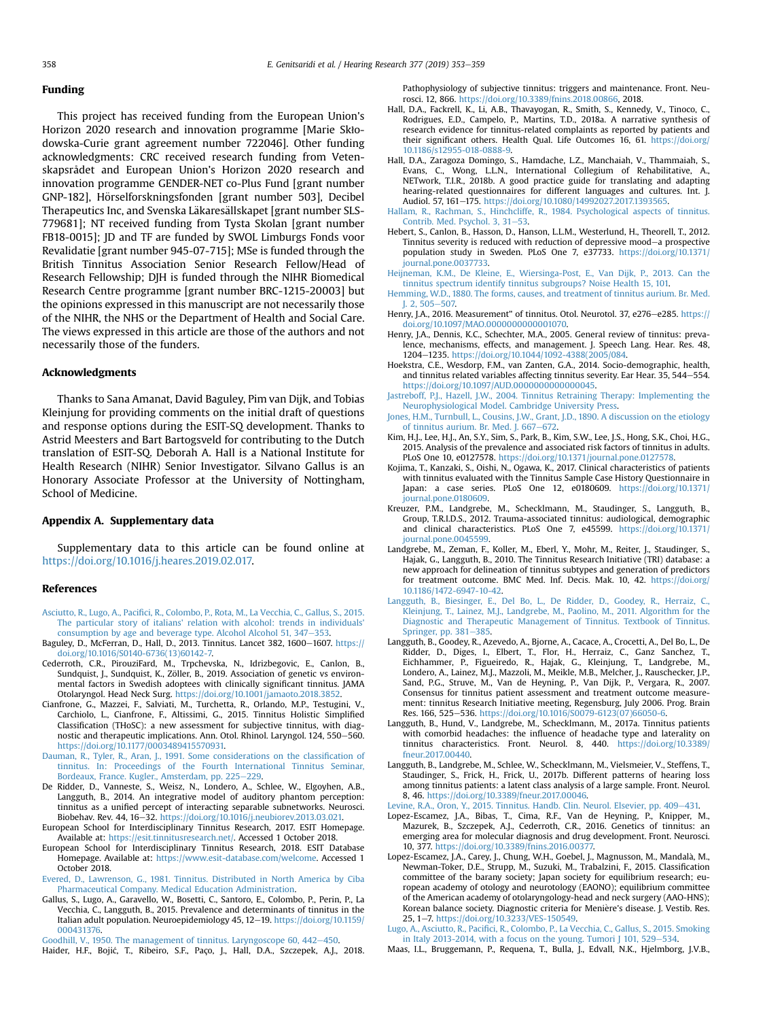#### <span id="page-6-0"></span>Funding

This project has received funding from the European Union's Horizon 2020 research and innovation programme [Marie Skłodowska-Curie grant agreement number 722046]. Other funding acknowledgments: CRC received research funding from Vetenskapsrådet and European Union's Horizon 2020 research and innovation programme GENDER-NET co-Plus Fund [grant number GNP-182], Hörselforskningsfonden [grant number 503], Decibel Therapeutics Inc, and Svenska Läkaresällskapet [grant number SLS-779681]; NT received funding from Tysta Skolan [grant number FB18-0015]; JD and TF are funded by SWOL Limburgs Fonds voor Revalidatie [grant number 945-07-715]; MSe is funded through the British Tinnitus Association Senior Research Fellow/Head of Research Fellowship; DJH is funded through the NIHR Biomedical Research Centre programme [grant number BRC-1215-20003] but the opinions expressed in this manuscript are not necessarily those of the NIHR, the NHS or the Department of Health and Social Care. The views expressed in this article are those of the authors and not necessarily those of the funders.

#### Acknowledgments

Thanks to Sana Amanat, David Baguley, Pim van Dijk, and Tobias Kleinjung for providing comments on the initial draft of questions and response options during the ESIT-SQ development. Thanks to Astrid Meesters and Bart Bartogsveld for contributing to the Dutch translation of ESIT-SQ. Deborah A. Hall is a National Institute for Health Research (NIHR) Senior Investigator. Silvano Gallus is an Honorary Associate Professor at the University of Nottingham, School of Medicine.

#### Appendix A. Supplementary data

Supplementary data to this article can be found online at [https://doi.org/10.1016/j.heares.2019.02.017.](https://doi.org/10.1016/j.heares.2019.02.017)

#### References

- Asciutto, R., Lugo, A., Pacifi[ci, R., Colombo, P., Rota, M., La Vecchia, C., Gallus, S., 2015.](http://refhub.elsevier.com/S0378-5955(18)30468-4/sref1) [The particular story of italians' relation with alcohol: trends in individuals'](http://refhub.elsevier.com/S0378-5955(18)30468-4/sref1) [consumption by age and beverage type. Alcohol Alcohol 51, 347](http://refhub.elsevier.com/S0378-5955(18)30468-4/sref1)-[353](http://refhub.elsevier.com/S0378-5955(18)30468-4/sref1).
- Baguley, D., McFerran, D., Hall, D., 2013. Tinnitus. Lancet 382, 1600-1607. [https://](https://doi.org/10.1016/S0140-6736(13)60142-7) [doi.org/10.1016/S0140-6736\(13\)60142-7.](https://doi.org/10.1016/S0140-6736(13)60142-7)
- Cederroth, C.R., PirouziFard, M., Trpchevska, N., Idrizbegovic, E., Canlon, B., Sundquist, J., Sundquist, K., Zöller, B., 2019. Association of genetic vs environmental factors in Swedish adoptees with clinically significant tinnitus. JAMA Otolaryngol. Head Neck Surg. [https://doi.org/10.1001/jamaoto.2018.3852.](https://doi.org/10.1001/jamaoto.2018.3852)
- Cianfrone, G., Mazzei, F., Salviati, M., Turchetta, R., Orlando, M.P., Testugini, V., Carchiolo, L., Cianfrone, F., Altissimi, G., 2015. Tinnitus Holistic Simplified Classification (THoSC): a new assessment for subjective tinnitus, with diagnostic and therapeutic implications. Ann. Otol. Rhinol. Laryngol. 124, 550-560. [https://doi.org/10.1177/0003489415570931.](https://doi.org/10.1177/0003489415570931)
- [Dauman, R., Tyler, R., Aran, J., 1991. Some considerations on the classi](http://refhub.elsevier.com/S0378-5955(18)30468-4/sref5)fication of [tinnitus. In: Proceedings of the Fourth International Tinnitus Seminar,](http://refhub.elsevier.com/S0378-5955(18)30468-4/sref5)<br>Bordeaux, France. Kugler., Amsterdam, pp. 225–[229](http://refhub.elsevier.com/S0378-5955(18)30468-4/sref5).
- De Ridder, D., Vanneste, S., Weisz, N., Londero, A., Schlee, W., Elgoyhen, A.B., Langguth, B., 2014. An integrative model of auditory phantom perception: tinnitus as a unified percept of interacting separable subnetworks. Neurosci. Biobehav. Rev. 44, 16-32. [https://doi.org/10.1016/j.neubiorev.2013.03.021.](https://doi.org/10.1016/j.neubiorev.2013.03.021)
- European School for Interdisciplinary Tinnitus Research, 2017. ESIT Homepage. Available at: [https://esit.tinnitusresearch.net/.](https://esit.tinnitusresearch.net/) Accessed 1 October 2018.
- European School for Interdisciplinary Tinnitus Research, 2018. ESIT Database Homepage. Available at: <https://www.esit-database.com/welcome>. Accessed 1 October 2018.

[Evered, D., Lawrenson, G., 1981. Tinnitus. Distributed in North America by Ciba](http://refhub.elsevier.com/S0378-5955(18)30468-4/sref9) [Pharmaceutical Company. Medical Education Administration](http://refhub.elsevier.com/S0378-5955(18)30468-4/sref9).

Gallus, S., Lugo, A., Garavello, W., Bosetti, C., Santoro, E., Colombo, P., Perin, P., La Vecchia, C., Langguth, B., 2015. Prevalence and determinants of tinnitus in the Italian adult population. Neuroepidemiology 45, 12-19. [https://doi.org/10.1159/](https://doi.org/10.1159/000431376) [000431376](https://doi.org/10.1159/000431376).

[Goodhill, V., 1950. The management of tinnitus. Laryngoscope 60, 442](http://refhub.elsevier.com/S0378-5955(18)30468-4/sref11)-[450](http://refhub.elsevier.com/S0378-5955(18)30468-4/sref11).

Haider, H.F., Bojic, T., Ribeiro, S.F., Paço, J., Hall, D.A., Szczepek, A.J., 2018.

Pathophysiology of subjective tinnitus: triggers and maintenance. Front. Neurosci. 12, 866. <https://doi.org/10.3389/fnins.2018.00866>, 2018.

- Hall, D.A., Fackrell, K., Li, A.B., Thavayogan, R., Smith, S., Kennedy, V., Tinoco, C., Rodrigues, E.D., Campelo, P., Martins, T.D., 2018a. A narrative synthesis of research evidence for tinnitus-related complaints as reported by patients and their significant others. Health Qual. Life Outcomes 16, 61. [https://doi.org/](https://doi.org/10.1186/s12955-018-0888-9) [10.1186/s12955-018-0888-9.](https://doi.org/10.1186/s12955-018-0888-9)
- Hall, D.A., Zaragoza Domingo, S., Hamdache, L.Z., Manchaiah, V., Thammaiah, S., Evans, C., Wong, L.L.N., International Collegium of Rehabilitative, A., NETwork, T.I.R., 2018b. A good practice guide for translating and adapting hearing-related questionnaires for different languages and cultures. Int. J. Audiol. 57, 161-175. [https://doi.org/10.1080/14992027.2017.1393565.](https://doi.org/10.1080/14992027.2017.1393565)
- [Hallam, R., Rachman, S., Hinchcliffe, R., 1984. Psychological aspects of tinnitus.](http://refhub.elsevier.com/S0378-5955(18)30468-4/sref15) [Contrib. Med. Psychol. 3, 31](http://refhub.elsevier.com/S0378-5955(18)30468-4/sref15)-[53.](http://refhub.elsevier.com/S0378-5955(18)30468-4/sref15)
- Hebert, S., Canlon, B., Hasson, D., Hanson, L.L.M., Westerlund, H., Theorell, T., 2012. Tinnitus severity is reduced with reduction of depressive mood-a prospective population study in Sweden. PLoS One 7, e37733. [https://doi.org/10.1371/](https://doi.org/10.1371/journal.pone.0037733) [journal.pone.0037733.](https://doi.org/10.1371/journal.pone.0037733)
- [Heijneman, K.M., De Kleine, E., Wiersinga-Post, E., Van Dijk, P., 2013. Can the](http://refhub.elsevier.com/S0378-5955(18)30468-4/sref17) [tinnitus spectrum identify tinnitus subgroups? Noise Health 15, 101.](http://refhub.elsevier.com/S0378-5955(18)30468-4/sref17)
- [Hemming, W.D., 1880. The forms, causes, and treatment of tinnitus aurium. Br. Med.](http://refhub.elsevier.com/S0378-5955(18)30468-4/sref18)  $I.2, 505 - 507$
- Henry, J.A., 2016. Measurement" of tinnitus. Otol. Neurotol. 37, e276-e285. [https://](https://doi.org/10.1097/MAO.0000000000001070) [doi.org/10.1097/MAO.0000000000001070](https://doi.org/10.1097/MAO.0000000000001070).
- Henry, J.A., Dennis, K.C., Schechter, M.A., 2005. General review of tinnitus: prevalence, mechanisms, effects, and management. J. Speech Lang. Hear. Res. 48, 1204-1235. [https://doi.org/10.1044/1092-4388\(2005/084](https://doi.org/10.1044/1092-4388(2005/084).
- Hoekstra, C.E., Wesdorp, F.M., van Zanten, G.A., 2014. Socio-demographic, health, and tinnitus related variables affecting tinnitus severity. Ear Hear. 35, 544-554. <https://doi.org/10.1097/AUD.0000000000000045>.
- [Jastreboff, P.J., Hazell, J.W., 2004. Tinnitus Retraining Therapy: Implementing the](http://refhub.elsevier.com/S0378-5955(18)30468-4/sref22) [Neurophysiological Model. Cambridge University Press](http://refhub.elsevier.com/S0378-5955(18)30468-4/sref22).
- [Jones, H.M., Turnbull, L., Cousins, J.W., Grant, J.D., 1890. A discussion on the etiology](http://refhub.elsevier.com/S0378-5955(18)30468-4/sref23) [of tinnitus aurium. Br. Med. J. 667](http://refhub.elsevier.com/S0378-5955(18)30468-4/sref23)-[672.](http://refhub.elsevier.com/S0378-5955(18)30468-4/sref23)
- Kim, H.J., Lee, H.J., An, S.Y., Sim, S., Park, B., Kim, S.W., Lee, J.S., Hong, S.K., Choi, H.G., 2015. Analysis of the prevalence and associated risk factors of tinnitus in adults. PLoS One 10, e0127578. [https://doi.org/10.1371/journal.pone.0127578.](https://doi.org/10.1371/journal.pone.0127578)
- Kojima, T., Kanzaki, S., Oishi, N., Ogawa, K., 2017. Clinical characteristics of patients with tinnitus evaluated with the Tinnitus Sample Case History Questionnaire in Japan: a case series. PLoS One 12, e0180609. [https://doi.org/10.1371/](https://doi.org/10.1371/journal.pone.0180609) [journal.pone.0180609.](https://doi.org/10.1371/journal.pone.0180609)
- Kreuzer, P.M., Landgrebe, M., Schecklmann, M., Staudinger, S., Langguth, B., Group, T.R.I.D.S., 2012. Trauma-associated tinnitus: audiological, demographic and clinical characteristics. PLoS One 7, e45599. [https://doi.org/10.1371/](https://doi.org/10.1371/journal.pone.0045599) [journal.pone.0045599](https://doi.org/10.1371/journal.pone.0045599).
- Landgrebe, M., Zeman, F., Koller, M., Eberl, Y., Mohr, M., Reiter, J., Staudinger, S., Hajak, G., Langguth, B., 2010. The Tinnitus Research Initiative (TRI) database: a new approach for delineation of tinnitus subtypes and generation of predictors for treatment outcome. BMC Med. Inf. Decis. Mak. 10, 42. [https://doi.org/](https://doi.org/10.1186/1472-6947-10-42) [10.1186/1472-6947-10-42](https://doi.org/10.1186/1472-6947-10-42).
- [Langguth, B., Biesinger, E., Del Bo, L., De Ridder, D., Goodey, R., Herraiz, C.,](http://refhub.elsevier.com/S0378-5955(18)30468-4/sref28) [Kleinjung, T., Lainez, M.J., Landgrebe, M., Paolino, M., 2011. Algorithm for the](http://refhub.elsevier.com/S0378-5955(18)30468-4/sref28) [Diagnostic and Therapeutic Management of Tinnitus. Textbook of Tinnitus.](http://refhub.elsevier.com/S0378-5955(18)30468-4/sref28) [Springer, pp. 381](http://refhub.elsevier.com/S0378-5955(18)30468-4/sref28)-[385.](http://refhub.elsevier.com/S0378-5955(18)30468-4/sref28)
- Langguth, B., Goodey, R., Azevedo, A., Bjorne, A., Cacace, A., Crocetti, A., Del Bo, L., De Ridder, D., Diges, I., Elbert, T., Flor, H., Herraiz, C., Ganz Sanchez, T., Eichhammer, P., Figueiredo, R., Hajak, G., Kleinjung, T., Landgrebe, M., Londero, A., Lainez, M.J., Mazzoli, M., Meikle, M.B., Melcher, J., Rauschecker, J.P., Sand, P.G., Struve, M., Van de Heyning, P., Van Dijk, P., Vergara, R., 2007. Consensus for tinnitus patient assessment and treatment outcome measurement: tinnitus Research Initiative meeting, Regensburg, July 2006. Prog. Brain Res. 166, 525-536. [https://doi.org/10.1016/S0079-6123\(07\)66050-6](https://doi.org/10.1016/S0079-6123(07)66050-6).
- Langguth, B., Hund, V., Landgrebe, M., Schecklmann, M., 2017a. Tinnitus patients with comorbid headaches: the influence of headache type and laterality on tinnitus characteristics. Front. Neurol. 8, 440. [https://doi.org/10.3389/](https://doi.org/10.3389/fneur.2017.00440) [fneur.2017.00440.](https://doi.org/10.3389/fneur.2017.00440)
- Langguth, B., Landgrebe, M., Schlee, W., Schecklmann, M., Vielsmeier, V., Steffens, T., Staudinger, S., Frick, H., Frick, U., 2017b. Different patterns of hearing loss among tinnitus patients: a latent class analysis of a large sample. Front. Neurol. 8, 46. [https://doi.org/10.3389/fneur.2017.00046.](https://doi.org/10.3389/fneur.2017.00046)

[Levine, R.A., Oron, Y., 2015. Tinnitus. Handb. Clin. Neurol. Elsevier, pp. 409](http://refhub.elsevier.com/S0378-5955(18)30468-4/sref32)-[431.](http://refhub.elsevier.com/S0378-5955(18)30468-4/sref32)

- Lopez-Escamez, J.A., Bibas, T., Cima, R.F., Van de Heyning, P., Knipper, M., Mazurek, B., Szczepek, A.J., Cederroth, C.R., 2016. Genetics of tinnitus: an emerging area for molecular diagnosis and drug development. Front. Neurosci. 10, 377. [https://doi.org/10.3389/fnins.2016.00377.](https://doi.org/10.3389/fnins.2016.00377)
- Lopez-Escamez, J.A., Carey, J., Chung, W.H., Goebel, J., Magnusson, M., Mandala, M., Newman-Toker, D.E., Strupp, M., Suzuki, M., Trabalzini, F., 2015. Classification committee of the barany society; Japan society for equilibrium research; european academy of otology and neurotology (EAONO); equilibrium committee of the American academy of otolaryngology-head and neck surgery (AAO-HNS); Korean balance society. Diagnostic criteria for Meniere's disease. J. Vestib. Res. 25, 1e7. <https://doi.org/10.3233/VES-150549>.
- Lugo, A., Asciutto, R., Pacifi[ci, R., Colombo, P., La Vecchia, C., Gallus, S., 2015. Smoking](http://refhub.elsevier.com/S0378-5955(18)30468-4/sref35) in Italy 2013-2014, with a focus on the young. Tumori  $I$  101, 529-[534](http://refhub.elsevier.com/S0378-5955(18)30468-4/sref35).
- Maas, I.L., Bruggemann, P., Requena, T., Bulla, J., Edvall, N.K., Hjelmborg, J.V.B.,